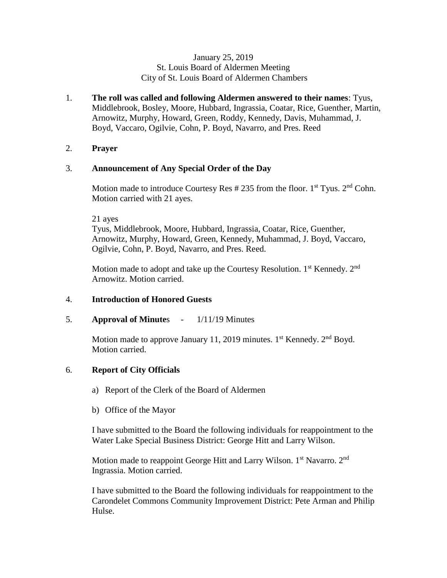### January 25, 2019 St. Louis Board of Aldermen Meeting City of St. Louis Board of Aldermen Chambers

1. **The roll was called and following Aldermen answered to their names**: Tyus, Middlebrook, Bosley, Moore, Hubbard, Ingrassia, Coatar, Rice, Guenther, Martin, Arnowitz, Murphy, Howard, Green, Roddy, Kennedy, Davis, Muhammad, J. Boyd, Vaccaro, Ogilvie, Cohn, P. Boyd, Navarro, and Pres. Reed

# 2. **Prayer**

# 3. **Announcement of Any Special Order of the Day**

Motion made to introduce Courtesy Res  $\#$  235 from the floor. 1<sup>st</sup> Tyus. 2<sup>nd</sup> Cohn. Motion carried with 21 ayes.

21 ayes

Tyus, Middlebrook, Moore, Hubbard, Ingrassia, Coatar, Rice, Guenther, Arnowitz, Murphy, Howard, Green, Kennedy, Muhammad, J. Boyd, Vaccaro, Ogilvie, Cohn, P. Boyd, Navarro, and Pres. Reed.

Motion made to adopt and take up the Courtesy Resolution.  $1<sup>st</sup>$  Kennedy.  $2<sup>nd</sup>$ Arnowitz. Motion carried.

### 4. **Introduction of Honored Guests**

5. **Approval of Minute**s - 1/11/19 Minutes

Motion made to approve January 11, 2019 minutes.  $1^{st}$  Kennedy.  $2^{nd}$  Boyd. Motion carried.

# 6. **Report of City Officials**

- a) Report of the Clerk of the Board of Aldermen
- b) Office of the Mayor

I have submitted to the Board the following individuals for reappointment to the Water Lake Special Business District: George Hitt and Larry Wilson.

Motion made to reappoint George Hitt and Larry Wilson. 1<sup>st</sup> Navarro. 2<sup>nd</sup> Ingrassia. Motion carried.

I have submitted to the Board the following individuals for reappointment to the Carondelet Commons Community Improvement District: Pete Arman and Philip Hulse.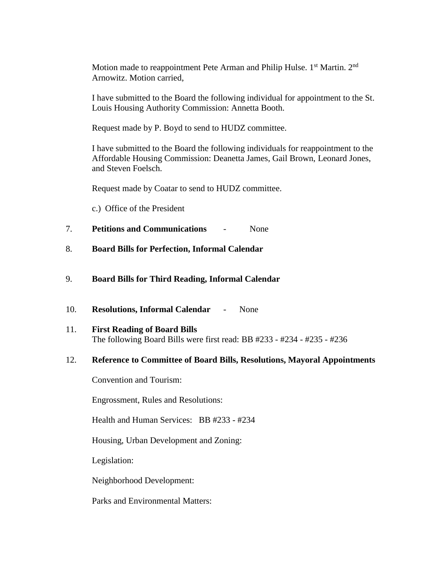Motion made to reappointment Pete Arman and Philip Hulse. 1st Martin. 2<sup>nd</sup> Arnowitz. Motion carried,

I have submitted to the Board the following individual for appointment to the St. Louis Housing Authority Commission: Annetta Booth.

Request made by P. Boyd to send to HUDZ committee.

I have submitted to the Board the following individuals for reappointment to the Affordable Housing Commission: Deanetta James, Gail Brown, Leonard Jones, and Steven Foelsch.

Request made by Coatar to send to HUDZ committee.

c.) Office of the President

- 7. **Petitions and Communications** None
- 8. **Board Bills for Perfection, Informal Calendar**

#### 9. **Board Bills for Third Reading, Informal Calendar**

- 10. **Resolutions, Informal Calendar** None
- 11. **First Reading of Board Bills** The following Board Bills were first read: BB #233 - #234 - #235 - #236

#### 12. **Reference to Committee of Board Bills, Resolutions, Mayoral Appointments**

Convention and Tourism:

Engrossment, Rules and Resolutions:

Health and Human Services: BB #233 - #234

Housing, Urban Development and Zoning:

Legislation:

Neighborhood Development:

Parks and Environmental Matters: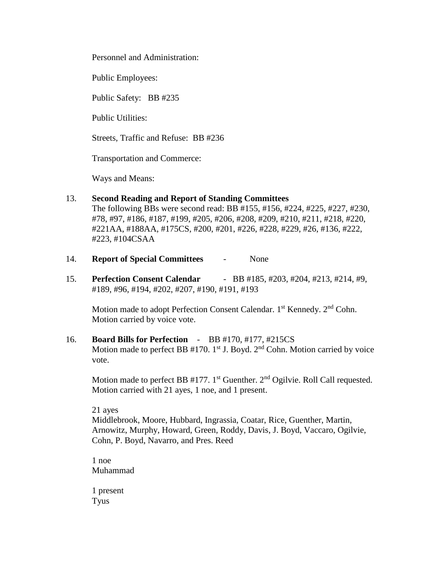Personnel and Administration:

Public Employees:

Public Safety: BB #235

Public Utilities:

Streets, Traffic and Refuse: BB #236

Transportation and Commerce:

Ways and Means:

# 13. **Second Reading and Report of Standing Committees**

The following BBs were second read: BB #155, #156, #224, #225, #227, #230, #78, #97, #186, #187, #199, #205, #206, #208, #209, #210, #211, #218, #220, #221AA, #188AA, #175CS, #200, #201, #226, #228, #229, #26, #136, #222, #223, #104CSAA

- 14. **Report of Special Committees** None
- 15. **Perfection Consent Calendar** BB #185, #203, #204, #213, #214, #9, #189, #96, #194, #202, #207, #190, #191, #193

Motion made to adopt Perfection Consent Calendar. 1<sup>st</sup> Kennedy. 2<sup>nd</sup> Cohn. Motion carried by voice vote.

16. **Board Bills for Perfection** - BB #170, #177, #215CS Motion made to perfect BB  $#170$ . 1<sup>st</sup> J. Boyd. 2<sup>nd</sup> Cohn. Motion carried by voice vote.

Motion made to perfect BB  $#177$ . 1<sup>st</sup> Guenther. 2<sup>nd</sup> Ogilvie. Roll Call requested. Motion carried with 21 ayes, 1 noe, and 1 present.

21 ayes

Middlebrook, Moore, Hubbard, Ingrassia, Coatar, Rice, Guenther, Martin, Arnowitz, Murphy, Howard, Green, Roddy, Davis, J. Boyd, Vaccaro, Ogilvie, Cohn, P. Boyd, Navarro, and Pres. Reed

1 noe Muhammad

1 present Tyus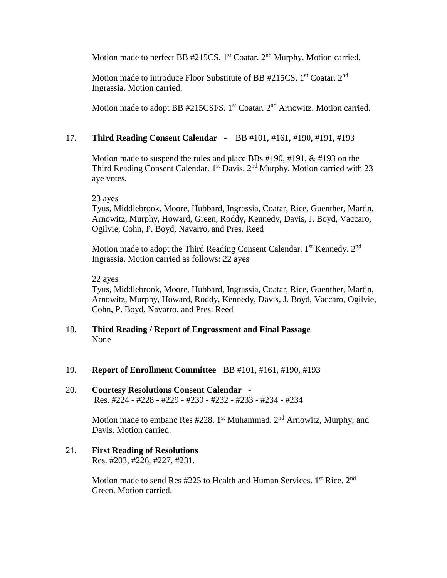Motion made to perfect BB  $#215CS$ . 1<sup>st</sup> Coatar. 2<sup>nd</sup> Murphy. Motion carried.

Motion made to introduce Floor Substitute of BB #215CS. 1<sup>st</sup> Coatar. 2<sup>nd</sup> Ingrassia. Motion carried.

Motion made to adopt BB #215CSFS. 1<sup>st</sup> Coatar. 2<sup>nd</sup> Arnowitz. Motion carried.

# 17. **Third Reading Consent Calendar** - BB #101, #161, #190, #191, #193

Motion made to suspend the rules and place BBs #190, #191, & #193 on the Third Reading Consent Calendar.  $1<sup>st</sup>$  Davis.  $2<sup>nd</sup>$  Murphy. Motion carried with 23 aye votes.

### 23 ayes

Tyus, Middlebrook, Moore, Hubbard, Ingrassia, Coatar, Rice, Guenther, Martin, Arnowitz, Murphy, Howard, Green, Roddy, Kennedy, Davis, J. Boyd, Vaccaro, Ogilvie, Cohn, P. Boyd, Navarro, and Pres. Reed

Motion made to adopt the Third Reading Consent Calendar. 1<sup>st</sup> Kennedy. 2<sup>nd</sup> Ingrassia. Motion carried as follows: 22 ayes

### 22 ayes

Tyus, Middlebrook, Moore, Hubbard, Ingrassia, Coatar, Rice, Guenther, Martin, Arnowitz, Murphy, Howard, Roddy, Kennedy, Davis, J. Boyd, Vaccaro, Ogilvie, Cohn, P. Boyd, Navarro, and Pres. Reed

# 18. **Third Reading / Report of Engrossment and Final Passage** None

19. **Report of Enrollment Committee** BB #101, #161, #190, #193

### 20. **Courtesy Resolutions Consent Calendar -**  Res. #224 - #228 - #229 - #230 - #232 - #233 - #234 - #234

Motion made to embanc Res #228. 1<sup>st</sup> Muhammad. 2<sup>nd</sup> Arnowitz, Murphy, and Davis. Motion carried.

21. **First Reading of Resolutions** Res. #203, #226, #227, #231.

> Motion made to send Res  $#225$  to Health and Human Services. 1<sup>st</sup> Rice. 2<sup>nd</sup> Green. Motion carried.